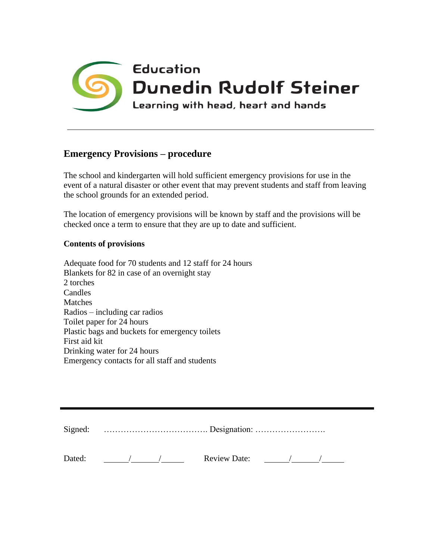

## **Emergency Provisions – procedure**

The school and kindergarten will hold sufficient emergency provisions for use in the event of a natural disaster or other event that may prevent students and staff from leaving the school grounds for an extended period.

The location of emergency provisions will be known by staff and the provisions will be checked once a term to ensure that they are up to date and sufficient.

## **Contents of provisions**

Adequate food for 70 students and 12 staff for 24 hours Blankets for 82 in case of an overnight stay 2 torches Candles **Matches** Radios – including car radios Toilet paper for 24 hours Plastic bags and buckets for emergency toilets First aid kit Drinking water for 24 hours Emergency contacts for all staff and students

Signed: ………………………………. Designation: …………………….

Dated: / / Review Date: / /